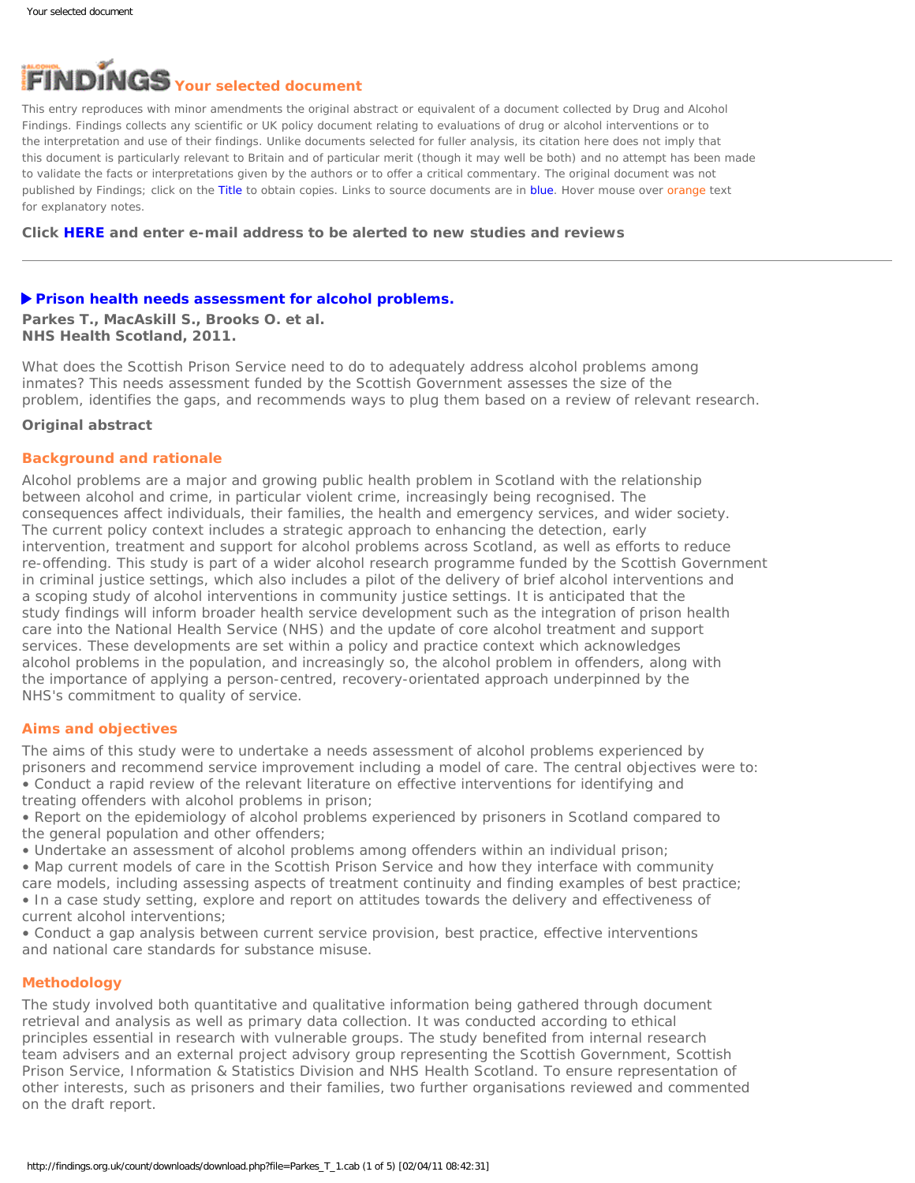# <span id="page-0-0"></span>**Your selected document**

This entry reproduces with minor amendments the original abstract or equivalent of a document collected by Drug and Alcohol Findings. Findings collects any scientific or UK policy document relating to evaluations of drug or alcohol interventions or to the interpretation and use of their findings. Unlike documents selected for fuller analysis, its citation here does not imply that this document is particularly relevant to Britain and of particular merit (though it may well be both) and no attempt has been made to validate the facts or interpretations given by the authors or to offer a critical commentary. The original document was not published by Findings; click on the Title to obtain copies. Links to source documents are in blue. Hover mouse over orange text for explanatory notes.

**Click [HERE](https://findings.org.uk/index.php#signUp) and enter e-mail address to be alerted to new studies and reviews**

### **[Prison health needs assessment for alcohol problems.](http://www.ohrn.nhs.uk/resource/policy/PrisonHealthNeedsAssessmentAlcohol.pdf)**

**Parkes T., MacAskill S., Brooks O. et al. NHS Health Scotland, 2011.**

What does the Scottish Prison Service need to do to adequately address alcohol problems among inmates? This needs assessment funded by the Scottish Government assesses the size of the problem, identifies the gaps, and recommends ways to plug them based on a review of relevant research.

#### **Original abstract**

### **Background and rationale**

Alcohol problems are a major and growing public health problem in Scotland with the relationship between alcohol and crime, in particular violent crime, increasingly being recognised. The consequences affect individuals, their families, the health and emergency services, and wider society. The current policy context includes a strategic approach to enhancing the detection, early intervention, treatment and support for alcohol problems across Scotland, as well as efforts to reduce re-offending. This study is part of a wider alcohol research programme funded by the Scottish Government in criminal justice settings, which also includes a pilot of the delivery of brief alcohol interventions and a scoping study of alcohol interventions in community justice settings. It is anticipated that the study findings will inform broader health service development such as the integration of prison health care into the National Health Service (NHS) and the update of core alcohol treatment and support services. These developments are set within a policy and practice context which acknowledges alcohol problems in the population, and increasingly so, the alcohol problem in offenders, along with the importance of applying a person-centred, recovery-orientated approach underpinned by the NHS's commitment to quality of service.

# **Aims and objectives**

The aims of this study were to undertake a needs assessment of alcohol problems experienced by prisoners and recommend service improvement including a model of care. The central objectives were to: • Conduct a rapid review of the relevant literature on effective interventions for identifying and treating offenders with alcohol problems in prison;

• Report on the epidemiology of alcohol problems experienced by prisoners in Scotland compared to the general population and other offenders;

• Undertake an assessment of alcohol problems among offenders within an individual prison;

• Map current models of care in the Scottish Prison Service and how they interface with community

care models, including assessing aspects of treatment continuity and finding examples of best practice; • In a case study setting, explore and report on attitudes towards the delivery and effectiveness of current alcohol interventions;

• Conduct a gap analysis between current service provision, best practice, effective interventions and national care standards for substance misuse.

#### **Methodology**

The study involved both quantitative and qualitative information being gathered through document retrieval and analysis as well as primary data collection. It was conducted according to ethical principles essential in research with vulnerable groups. The study benefited from internal research team advisers and an external project advisory group representing the Scottish Government, Scottish Prison Service, Information & Statistics Division and NHS Health Scotland. To ensure representation of other interests, such as prisoners and their families, two further organisations reviewed and commented on the draft report.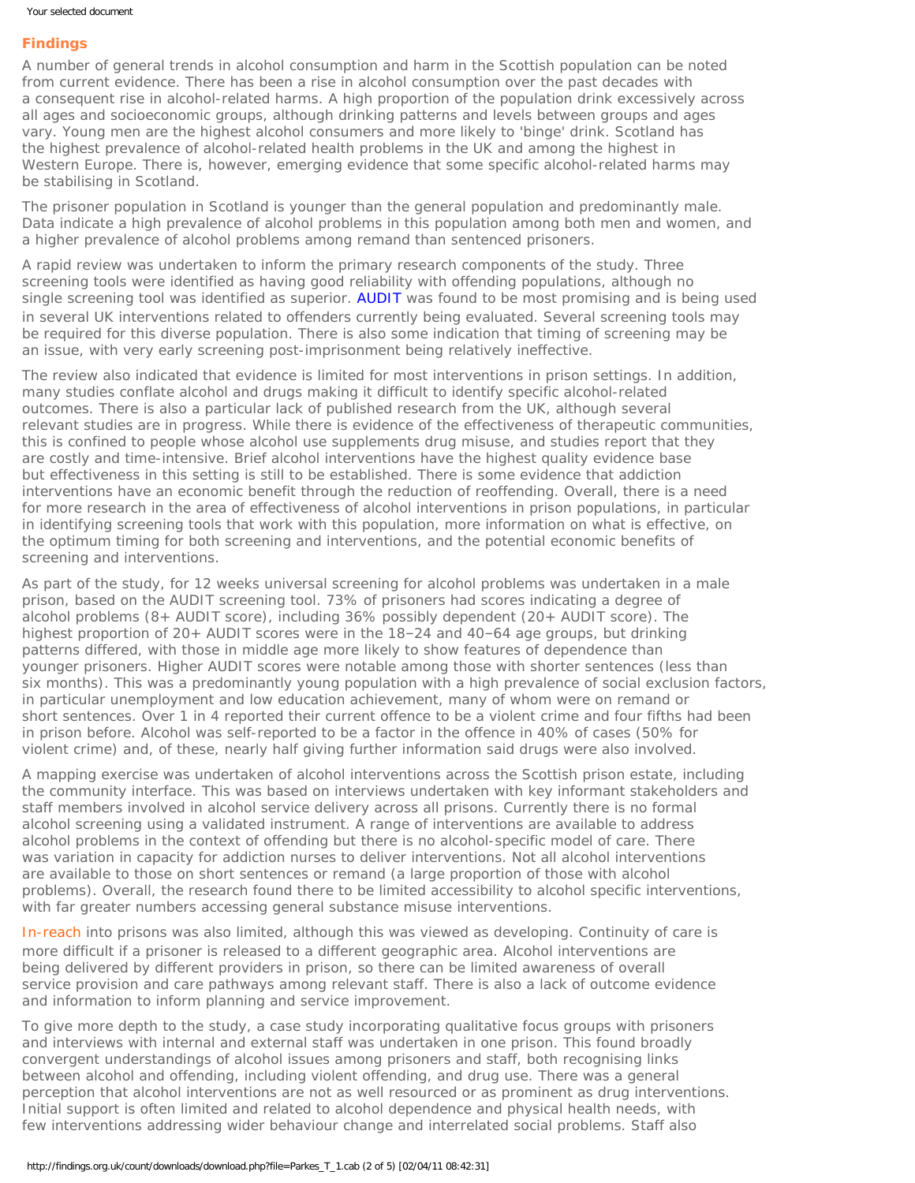## **Findings**

A number of general trends in alcohol consumption and harm in the Scottish population can be noted from current evidence. There has been a rise in alcohol consumption over the past decades with a consequent rise in alcohol-related harms. A high proportion of the population drink excessively across all ages and socioeconomic groups, although drinking patterns and levels between groups and ages vary. Young men are the highest alcohol consumers and more likely to 'binge' drink. Scotland has the highest prevalence of alcohol-related health problems in the UK and among the highest in Western Europe. There is, however, emerging evidence that some specific alcohol-related harms may be stabilising in Scotland.

The prisoner population in Scotland is younger than the general population and predominantly male. Data indicate a high prevalence of alcohol problems in this population among both men and women, and a higher prevalence of alcohol problems among remand than sentenced prisoners.

A rapid review was undertaken to inform the primary research components of the study. Three screening tools were identified as having good reliability with offending populations, although no single screening tool was identified as superior. [AUDIT](http://whqlibdoc.who.int/hq/2001/WHO_MSD_MSB_01.6a.pdf) was found to be most promising and is being used in several UK interventions related to offenders currently being evaluated. Several screening tools may be required for this diverse population. There is also some indication that timing of screening may be an issue, with very early screening post-imprisonment being relatively ineffective.

The review also indicated that evidence is limited for most interventions in prison settings. In addition, many studies conflate alcohol and drugs making it difficult to identify specific alcohol-related outcomes. There is also a particular lack of published research from the UK, although several relevant studies are in progress. While there is evidence of the effectiveness of therapeutic communities, this is confined to people whose alcohol use supplements drug misuse, and studies report that they are costly and time-intensive. Brief alcohol interventions have the highest quality evidence base but effectiveness in this setting is still to be established. There is some evidence that addiction interventions have an economic benefit through the reduction of reoffending. Overall, there is a need for more research in the area of effectiveness of alcohol interventions in prison populations, in particular in identifying screening tools that work with this population, more information on what is effective, on the optimum timing for both screening and interventions, and the potential economic benefits of screening and interventions.

As part of the study, for 12 weeks universal screening for alcohol problems was undertaken in a male prison, based on the AUDIT screening tool. 73% of prisoners had scores indicating a degree of alcohol problems (8+ AUDIT score), including 36% possibly dependent (20+ AUDIT score). The highest proportion of 20+ AUDIT scores were in the 18–24 and 40–64 age groups, but drinking patterns differed, with those in middle age more likely to show features of dependence than younger prisoners. Higher AUDIT scores were notable among those with shorter sentences (less than six months). This was a predominantly young population with a high prevalence of social exclusion factors, in particular unemployment and low education achievement, many of whom were on remand or short sentences. Over 1 in 4 reported their current offence to be a violent crime and four fifths had been in prison before. Alcohol was self-reported to be a factor in the offence in 40% of cases (50% for violent crime) and, of these, nearly half giving further information said drugs were also involved.

A mapping exercise was undertaken of alcohol interventions across the Scottish prison estate, including the community interface. This was based on interviews undertaken with key informant stakeholders and staff members involved in alcohol service delivery across all prisons. Currently there is no formal alcohol screening using a validated instrument. A range of interventions are available to address alcohol problems in the context of offending but there is no alcohol-specific model of care. There was variation in capacity for addiction nurses to deliver interventions. Not all alcohol interventions are available to those on short sentences or remand (a large proportion of those with alcohol problems). Overall, the research found there to be limited accessibility to alcohol specific interventions, with far greater numbers accessing general substance misuse interventions.

[In-reach](#page-0-0) into prisons was also limited, although this was viewed as developing. Continuity of care is more difficult if a prisoner is released to a different geographic area. Alcohol interventions are being delivered by different providers in prison, so there can be limited awareness of overall service provision and care pathways among relevant staff. There is also a lack of outcome evidence and information to inform planning and service improvement.

To give more depth to the study, a case study incorporating qualitative focus groups with prisoners and interviews with internal and external staff was undertaken in one prison. This found broadly convergent understandings of alcohol issues among prisoners and staff, both recognising links between alcohol and offending, including violent offending, and drug use. There was a general perception that alcohol interventions are not as well resourced or as prominent as drug interventions. Initial support is often limited and related to alcohol dependence and physical health needs, with few interventions addressing wider behaviour change and interrelated social problems. Staff also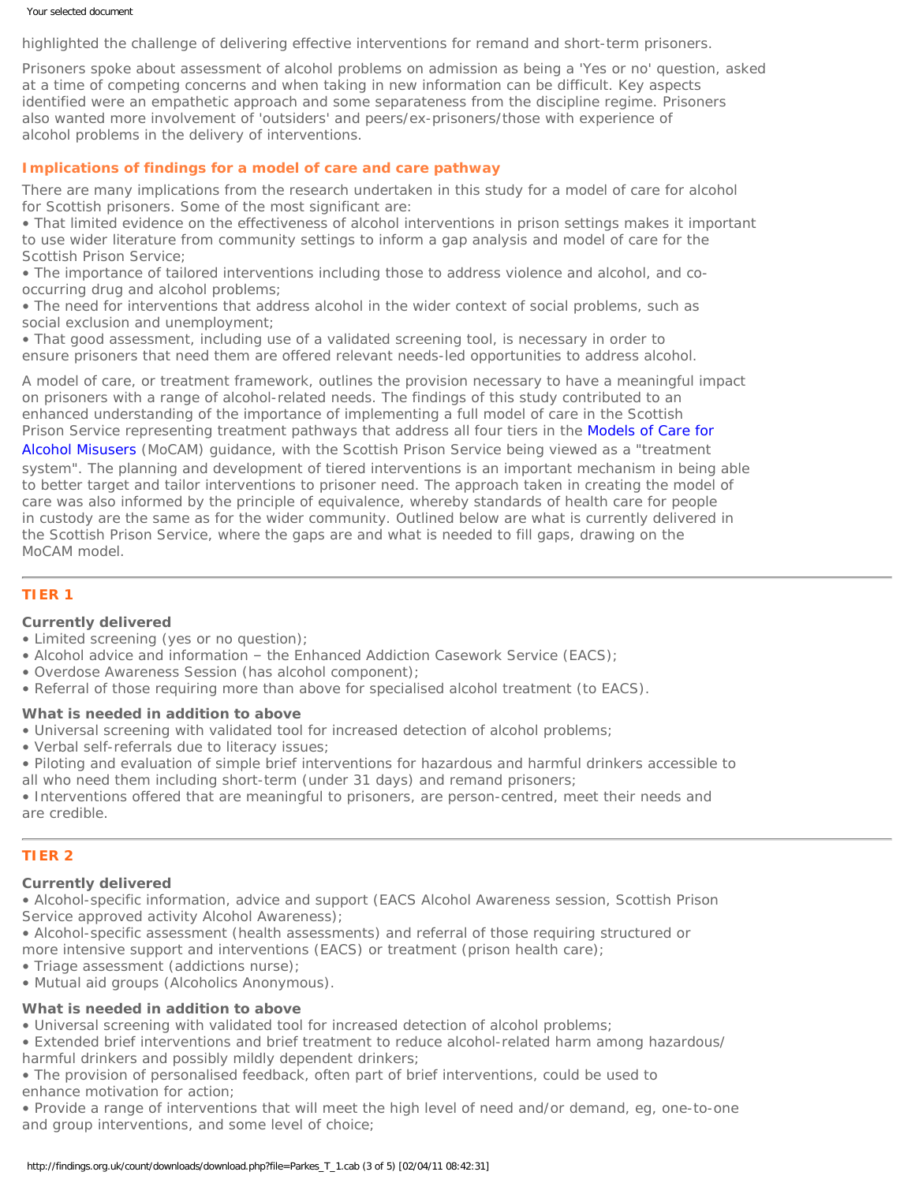#### Your selected document

highlighted the challenge of delivering effective interventions for remand and short-term prisoners.

Prisoners spoke about assessment of alcohol problems on admission as being a 'Yes or no' question, asked at a time of competing concerns and when taking in new information can be difficult. Key aspects identified were an empathetic approach and some separateness from the discipline regime. Prisoners also wanted more involvement of 'outsiders' and peers/ex-prisoners/those with experience of alcohol problems in the delivery of interventions.

# **Implications of findings for a model of care and care pathway**

There are many implications from the research undertaken in this study for a model of care for alcohol for Scottish prisoners. Some of the most significant are:

• That limited evidence on the effectiveness of alcohol interventions in prison settings makes it important to use wider literature from community settings to inform a gap analysis and model of care for the Scottish Prison Service;

• The importance of tailored interventions including those to address violence and alcohol, and cooccurring drug and alcohol problems;

• The need for interventions that address alcohol in the wider context of social problems, such as social exclusion and unemployment;

• That good assessment, including use of a validated screening tool, is necessary in order to ensure prisoners that need them are offered relevant needs-led opportunities to address alcohol.

A model of care, or treatment framework, outlines the provision necessary to have a meaningful impact on prisoners with a range of alcohol-related needs. The findings of this study contributed to an enhanced understanding of the importance of implementing a full model of care in the Scottish Prison Service representing treatment pathways that address all four tiers in the [Models of Care for](http://www.dh.gov.uk/en/Publicationsandstatistics/Publications/PublicationsPolicyAndGuidance/DH_4136806)

[Alcohol Misusers](http://www.dh.gov.uk/en/Publicationsandstatistics/Publications/PublicationsPolicyAndGuidance/DH_4136806) (MoCAM) guidance, with the Scottish Prison Service being viewed as a "treatment system". The planning and development of tiered interventions is an important mechanism in being able to better target and tailor interventions to prisoner need. The approach taken in creating the model of care was also informed by the principle of equivalence, whereby standards of health care for people in custody are the same as for the wider community. Outlined below are what is currently delivered in the Scottish Prison Service, where the gaps are and what is needed to fill gaps, drawing on the MoCAM model.

# **[TIER 1](#page-0-0)**

# **Currently delivered**

- Limited screening (yes or no question);
- Alcohol advice and information the Enhanced Addiction Casework Service (EACS);
- Overdose Awareness Session (has alcohol component);
- Referral of those requiring more than above for specialised alcohol treatment (to EACS).

#### **What is needed in addition to above**

- Universal screening with validated tool for increased detection of alcohol problems;
- Verbal self-referrals due to literacy issues;
- Piloting and evaluation of simple brief interventions for hazardous and harmful drinkers accessible to
- all who need them including short-term (under 31 days) and remand prisoners;

• Interventions offered that are meaningful to prisoners, are person-centred, meet their needs and are credible.

# **[TIER 2](#page-0-0)**

#### **Currently delivered**

• Alcohol-specific information, advice and support (EACS Alcohol Awareness session, Scottish Prison Service approved activity Alcohol Awareness);

• Alcohol-specific assessment (health assessments) and referral of those requiring structured or more intensive support and interventions (EACS) or treatment (prison health care);

• Triage assessment (addictions nurse);

• Mutual aid groups (Alcoholics Anonymous).

# **What is needed in addition to above**

• Universal screening with validated tool for increased detection of alcohol problems;

• Extended brief interventions and brief treatment to reduce alcohol-related harm among hazardous/

harmful drinkers and possibly mildly dependent drinkers;

• The provision of personalised feedback, often part of brief interventions, could be used to enhance motivation for action;

• Provide a range of interventions that will meet the high level of need and/or demand, eg, one-to-one and group interventions, and some level of choice;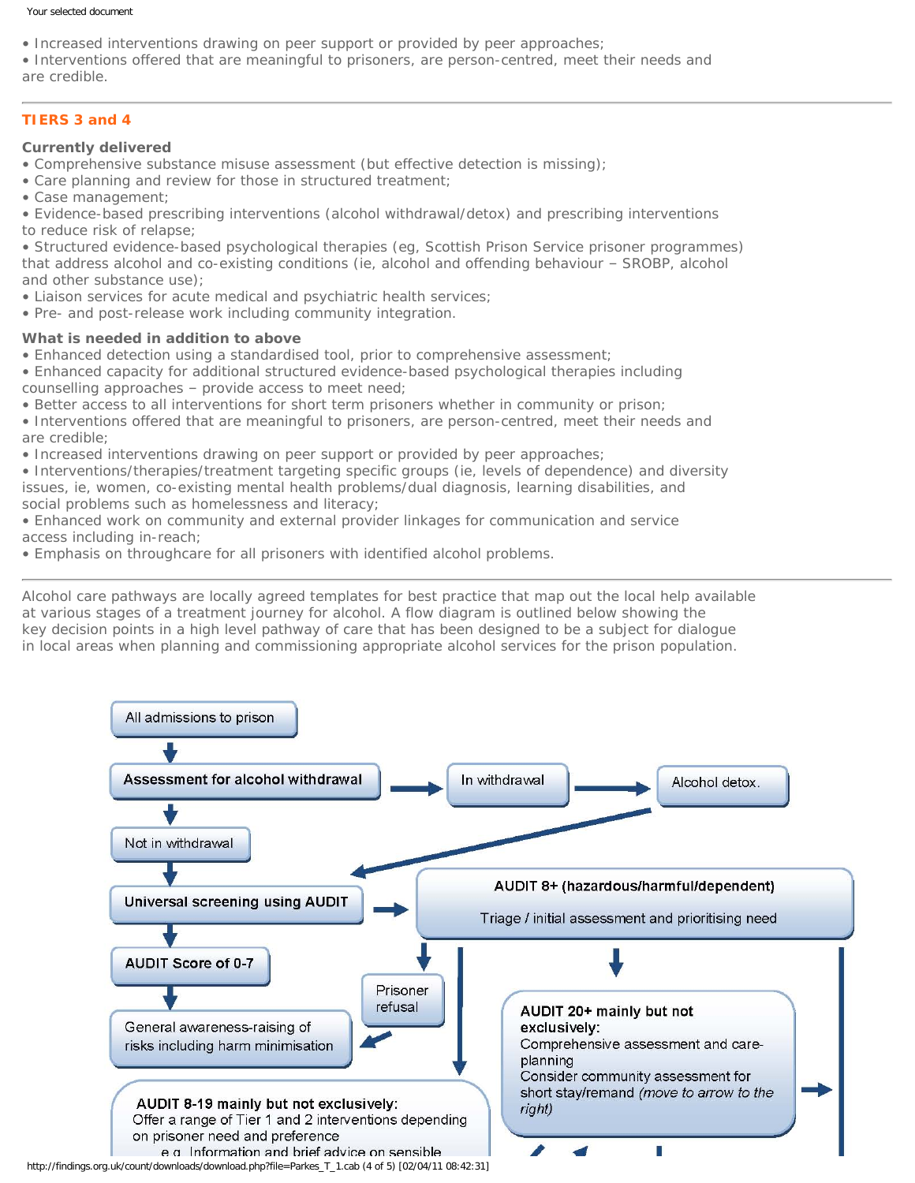#### Your selected document

- Increased interventions drawing on peer support or provided by peer approaches;
- Interventions offered that are meaningful to prisoners, are person-centred, meet their needs and are credible.

# **[TIERS 3 and 4](#page-0-0)**

## **Currently delivered**

- Comprehensive substance misuse assessment (but effective detection is missing);
- Care planning and review for those in structured treatment;
- Case management;
- Evidence-based prescribing interventions (alcohol withdrawal/detox) and prescribing interventions to reduce risk of relapse;

• Structured evidence-based psychological therapies (eg, Scottish Prison Service prisoner programmes) that address alcohol and co-existing conditions (ie, alcohol and offending behaviour – SROBP, alcohol and other substance use);

- Liaison services for acute medical and psychiatric health services;
- Pre- and post-release work including community integration.

# **What is needed in addition to above**

- Enhanced detection using a standardised tool, prior to comprehensive assessment;
- Enhanced capacity for additional structured evidence-based psychological therapies including counselling approaches – provide access to meet need;
- Better access to all interventions for short term prisoners whether in community or prison;
- Interventions offered that are meaningful to prisoners, are person-centred, meet their needs and are credible;
- Increased interventions drawing on peer support or provided by peer approaches;
- Interventions/therapies/treatment targeting specific groups (ie, levels of dependence) and diversity issues, ie, women, co-existing mental health problems/dual diagnosis, learning disabilities, and social problems such as homelessness and literacy;
- Enhanced work on community and external provider linkages for communication and service access including in-reach;
- Emphasis on throughcare for all prisoners with identified alcohol problems.

Alcohol care pathways are locally agreed templates for best practice that map out the local help available at various stages of a treatment journey for alcohol. A flow diagram is outlined below showing the key decision points in a high level pathway of care that has been designed to be a subject for dialogue in local areas when planning and commissioning appropriate alcohol services for the prison population.